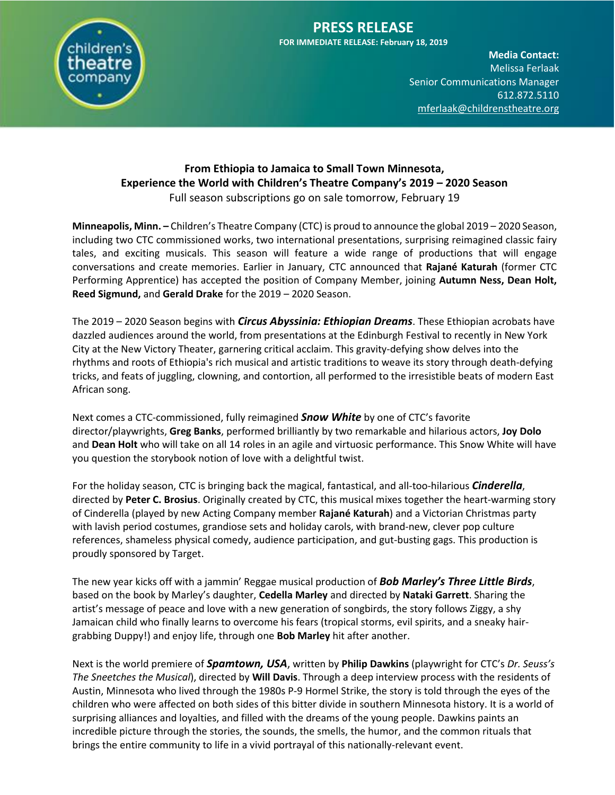

### **PRESS RELEASE FOR IMMEDIATE RELEASE: February 18, 2019**

**Media Contact:**  Melissa Ferlaak **Senior Communications Manager** 612.872.5110 [mferlaak@childrenstheatre.org](mailto:mferlaak@childrenstheatre.org)

### **From Ethiopia to Jamaica to Small Town Minnesota, Experience the World with Children's Theatre Company's 2019 – 2020 Season** Full season subscriptions go on sale tomorrow, February 19

**Minneapolis, Minn. –** Children's Theatre Company (CTC) is proud to announce the global 2019 – 2020 Season, including two CTC commissioned works, two international presentations, surprising reimagined classic fairy tales, and exciting musicals. This season will feature a wide range of productions that will engage conversations and create memories. Earlier in January, CTC announced that **Rajané Katurah** (former CTC Performing Apprentice) has accepted the position of Company Member, joining **Autumn Ness, Dean Holt, Reed Sigmund,** and **Gerald Drake** for the 2019 – 2020 Season.

The 2019 – 2020 Season begins with *Circus Abyssinia: Ethiopian Dreams*. These Ethiopian acrobats have dazzled audiences around the world, from presentations at the Edinburgh Festival to recently in New York City at the New Victory Theater, garnering critical acclaim. This gravity-defying show delves into the rhythms and roots of Ethiopia's rich musical and artistic traditions to weave its story through death-defying tricks, and feats of juggling, clowning, and contortion, all performed to the irresistible beats of modern East African song.

Next comes a CTC-commissioned, fully reimagined *Snow White* by one of CTC's favorite director/playwrights, **Greg Banks**, performed brilliantly by two remarkable and hilarious actors, **Joy Dolo** and **Dean Holt** who will take on all 14 roles in an agile and virtuosic performance. This Snow White will have you question the storybook notion of love with a delightful twist.

For the holiday season, CTC is bringing back the magical, fantastical, and all-too-hilarious *Cinderella*, directed by **Peter C. Brosius**. Originally created by CTC, this musical mixes together the heart-warming story of Cinderella (played by new Acting Company member **Rajané Katurah**) and a Victorian Christmas party with lavish period costumes, grandiose sets and holiday carols, with brand-new, clever pop culture references, shameless physical comedy, audience participation, and gut-busting gags. This production is proudly sponsored by Target.

The new year kicks off with a jammin' Reggae musical production of *Bob Marley's Three Little Birds*, based on the book by Marley's daughter, **Cedella Marley** and directed by **Nataki Garrett**. Sharing the artist's message of peace and love with a new generation of songbirds, the story follows Ziggy, a shy Jamaican child who finally learns to overcome his fears (tropical storms, evil spirits, and a sneaky hairgrabbing Duppy!) and enjoy life, through one **Bob Marley** hit after another.

Next is the world premiere of *Spamtown, USA*, written by **Philip Dawkins** (playwright for CTC's *Dr. Seuss's The Sneetches the Musical*), directed by **Will Davis**. Through a deep interview process with the residents of Austin, Minnesota who lived through the 1980s P-9 Hormel Strike, the story is told through the eyes of the children who were affected on both sides of this bitter divide in southern Minnesota history. It is a world of surprising alliances and loyalties, and filled with the dreams of the young people. Dawkins paints an incredible picture through the stories, the sounds, the smells, the humor, and the common rituals that brings the entire community to life in a vivid portrayal of this nationally-relevant event.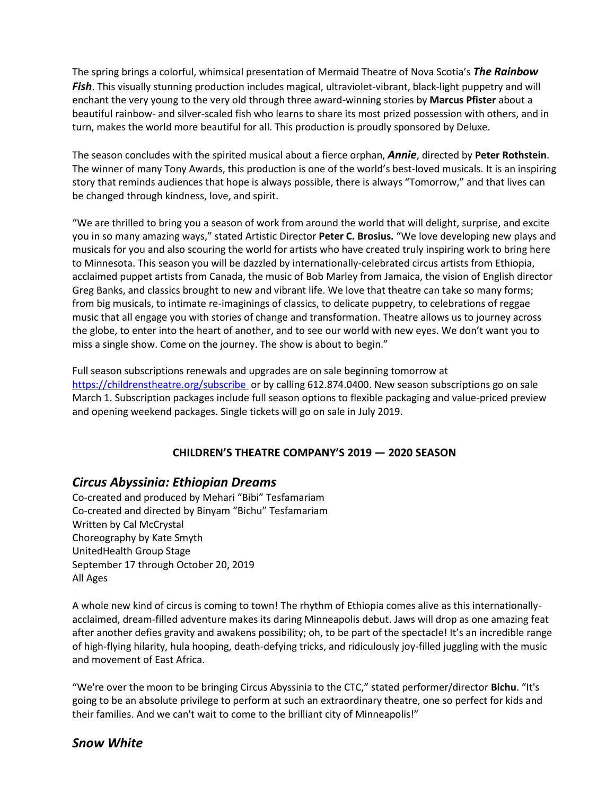The spring brings a colorful, whimsical presentation of Mermaid Theatre of Nova Scotia's *The Rainbow* **Fish**. This visually stunning production includes magical, ultraviolet-vibrant, black-light puppetry and will enchant the very young to the very old through three award-winning stories by **Marcus Pfister** about a beautiful rainbow- and silver-scaled fish who learns to share its most prized possession with others, and in turn, makes the world more beautiful for all. This production is proudly sponsored by Deluxe.

The season concludes with the spirited musical about a fierce orphan, *Annie*, directed by **Peter Rothstein**. The winner of many Tony Awards, this production is one of the world's best-loved musicals. It is an inspiring story that reminds audiences that hope is always possible, there is always "Tomorrow," and that lives can be changed through kindness, love, and spirit.

"We are thrilled to bring you a season of work from around the world that will delight, surprise, and excite you in so many amazing ways," stated Artistic Director **Peter C. Brosius.** "We love developing new plays and musicals for you and also scouring the world for artists who have created truly inspiring work to bring here to Minnesota. This season you will be dazzled by internationally-celebrated circus artists from Ethiopia, acclaimed puppet artists from Canada, the music of Bob Marley from Jamaica, the vision of English director Greg Banks, and classics brought to new and vibrant life. We love that theatre can take so many forms; from big musicals, to intimate re-imaginings of classics, to delicate puppetry, to celebrations of reggae music that all engage you with stories of change and transformation. Theatre allows us to journey across the globe, to enter into the heart of another, and to see our world with new eyes. We don't want you to miss a single show. Come on the journey. The show is about to begin."

Full season subscriptions renewals and upgrades are on sale beginning tomorrow at <https://childrenstheatre.org/subscribe> or by calling 612.874.0400. New season subscriptions go on sale March 1. Subscription packages include full season options to flexible packaging and value-priced preview and opening weekend packages. Single tickets will go on sale in July 2019.

# **CHILDREN'S THEATRE COMPANY'S 2019 — 2020 SEASON**

# *Circus Abyssinia: Ethiopian Dreams*

Co-created and produced by Mehari "Bibi" Tesfamariam Co-created and directed by Binyam "Bichu" Tesfamariam Written by Cal McCrystal Choreography by Kate Smyth UnitedHealth Group Stage September 17 through October 20, 2019 All Ages

A whole new kind of circus is coming to town! The rhythm of Ethiopia comes alive as this internationallyacclaimed, dream-filled adventure makes its daring Minneapolis debut. Jaws will drop as one amazing feat after another defies gravity and awakens possibility; oh, to be part of the spectacle! It's an incredible range of high-flying hilarity, hula hooping, death-defying tricks, and ridiculously joy-filled juggling with the music and movement of East Africa.

"We're over the moon to be bringing Circus Abyssinia to the CTC," stated performer/director **Bichu**. "It's going to be an absolute privilege to perform at such an extraordinary theatre, one so perfect for kids and their families. And we can't wait to come to the brilliant city of Minneapolis!"

#### *Snow White*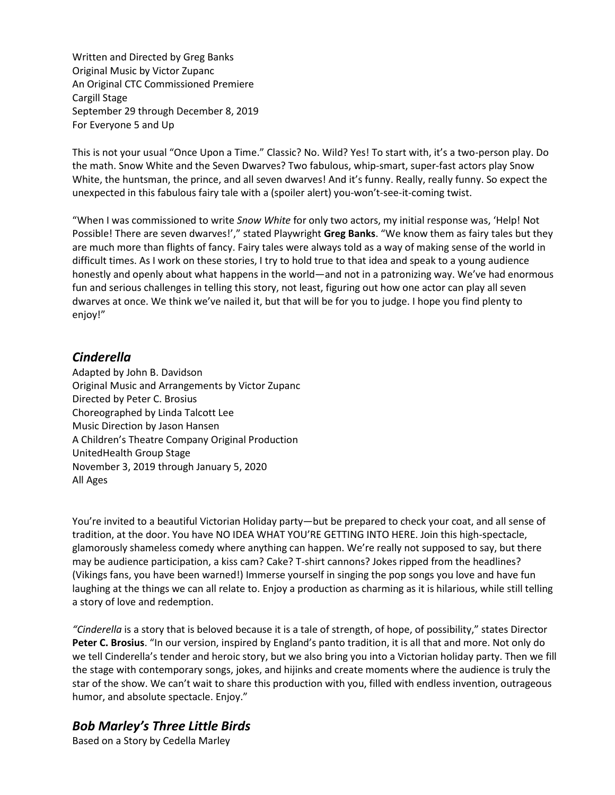Written and Directed by Greg Banks Original Music by Victor Zupanc An Original CTC Commissioned Premiere Cargill Stage September 29 through December 8, 2019 For Everyone 5 and Up

This is not your usual "Once Upon a Time." Classic? No. Wild? Yes! To start with, it's a two-person play. Do the math. Snow White and the Seven Dwarves? Two fabulous, whip-smart, super-fast actors play Snow White, the huntsman, the prince, and all seven dwarves! And it's funny. Really, really funny. So expect the unexpected in this fabulous fairy tale with a (spoiler alert) you-won't-see-it-coming twist.

"When I was commissioned to write *Snow White* for only two actors, my initial response was, 'Help! Not Possible! There are seven dwarves!'," stated Playwright **Greg Banks**. "We know them as fairy tales but they are much more than flights of fancy. Fairy tales were always told as a way of making sense of the world in difficult times. As I work on these stories, I try to hold true to that idea and speak to a young audience honestly and openly about what happens in the world—and not in a patronizing way. We've had enormous fun and serious challenges in telling this story, not least, figuring out how one actor can play all seven dwarves at once. We think we've nailed it, but that will be for you to judge. I hope you find plenty to enjoy!"

# *Cinderella*

Adapted by John B. Davidson Original Music and Arrangements by Victor Zupanc Directed by Peter C. Brosius Choreographed by Linda Talcott Lee Music Direction by Jason Hansen A Children's Theatre Company Original Production UnitedHealth Group Stage November 3, 2019 through January 5, 2020 All Ages

You're invited to a beautiful Victorian Holiday party—but be prepared to check your coat, and all sense of tradition, at the door. You have NO IDEA WHAT YOU'RE GETTING INTO HERE. Join this high-spectacle, glamorously shameless comedy where anything can happen. We're really not supposed to say, but there may be audience participation, a kiss cam? Cake? T-shirt cannons? Jokes ripped from the headlines? (Vikings fans, you have been warned!) Immerse yourself in singing the pop songs you love and have fun laughing at the things we can all relate to. Enjoy a production as charming as it is hilarious, while still telling a story of love and redemption.

*"Cinderella* is a story that is beloved because it is a tale of strength, of hope, of possibility," states Director **Peter C. Brosius**. "In our version, inspired by England's panto tradition, it is all that and more. Not only do we tell Cinderella's tender and heroic story, but we also bring you into a Victorian holiday party. Then we fill the stage with contemporary songs, jokes, and hijinks and create moments where the audience is truly the star of the show. We can't wait to share this production with you, filled with endless invention, outrageous humor, and absolute spectacle. Enjoy."

# *Bob Marley's Three Little Birds*

Based on a Story by Cedella Marley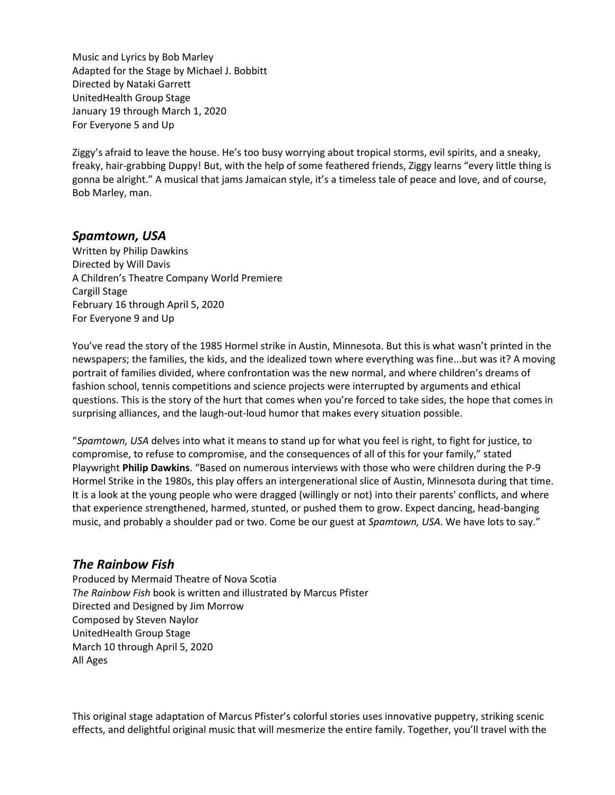Music and Lyrics by Bob Marley Adapted for the Stage by Michael J. Bobbitt Directed by Nataki Garrett UnitedHealth Group Stage January 19 through March 1, 2020 For Everyone 5 and Up

Ziggy's afraid to leave the house. He's too busy worrying about tropical storms, evil spirits, and a sneaky, freaky, hair-grabbing Duppy! But, with the help of some feathered friends, Ziggy learns "every little thing is gonna be alright." A musical that jams Jamaican style, it's a timeless tale of peace and love, and of course, Bob Marley, man.

### *Spamtown, USA*

Written by Philip Dawkins Directed by Will Davis A Children's Theatre Company World Premiere Cargill Stage February 16 through April 5, 2020 For Everyone 9 and Up

You've read the story of the 1985 Hormel strike in Austin, Minnesota. But this is what wasn't printed in the newspapers; the families, the kids, and the idealized town where everything was fine...but was it? A moving portrait of families divided, where confrontation was the new normal, and where children's dreams of fashion school, tennis competitions and science projects were interrupted by arguments and ethical questions. This is the story of the hurt that comes when you're forced to take sides, the hope that comes in surprising alliances, and the laugh-out-loud humor that makes every situation possible.

"*Spamtown, USA* delves into what it means to stand up for what you feel is right, to fight for justice, to compromise, to refuse to compromise, and the consequences of all of this for your family," stated Playwright **Philip Dawkins**. "Based on numerous interviews with those who were children during the P-9 Hormel Strike in the 1980s, this play offers an intergenerational slice of Austin, Minnesota during that time. It is a look at the young people who were dragged (willingly or not) into their parents' conflicts, and where that experience strengthened, harmed, stunted, or pushed them to grow. Expect dancing, head-banging music, and probably a shoulder pad or two. Come be our guest at *Spamtown, USA*. We have lots to say."

#### *The Rainbow Fish*

Produced by Mermaid Theatre of Nova Scotia *The Rainbow Fish* book is written and illustrated by Marcus Pfister Directed and Designed by Jim Morrow Composed by Steven Naylor UnitedHealth Group Stage March 10 through April 5, 2020 All Ages

This original stage adaptation of Marcus Pfister's colorful stories uses innovative puppetry, striking scenic effects, and delightful original music that will mesmerize the entire family. Together, you'll travel with the